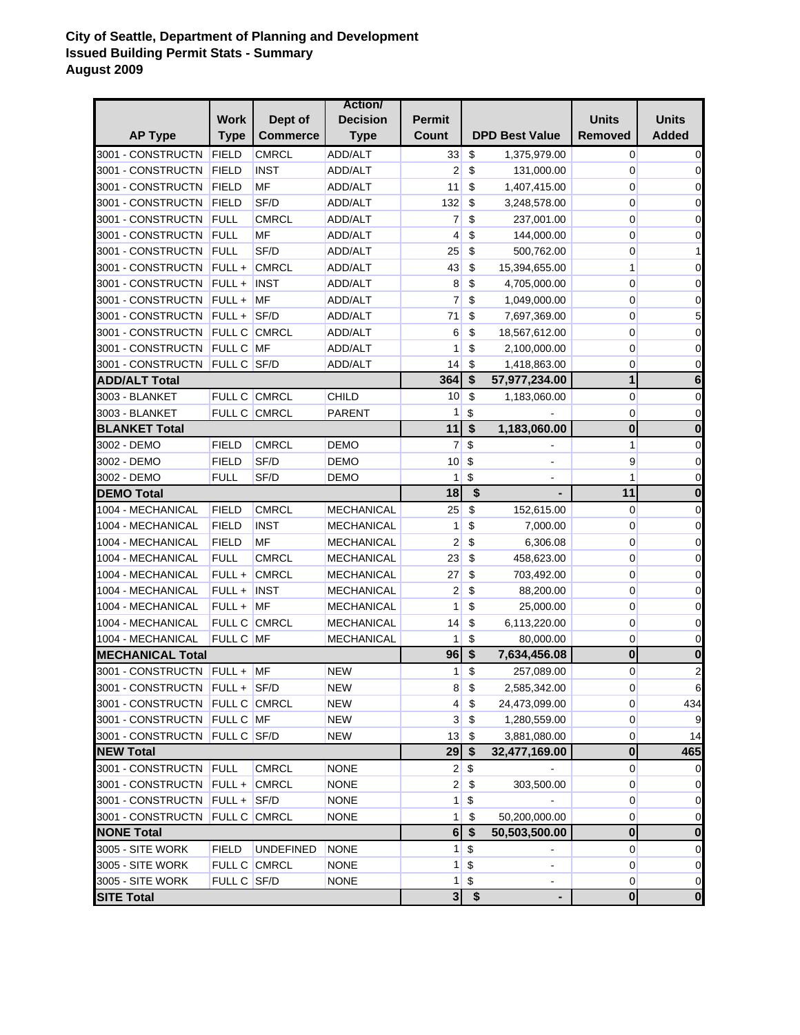## **City of Seattle, Department of Planning and Development Issued Building Permit Stats - Summary August 2009**

|                                |                |                  | Action/           |                |                           |                       |                         |                         |
|--------------------------------|----------------|------------------|-------------------|----------------|---------------------------|-----------------------|-------------------------|-------------------------|
|                                | <b>Work</b>    | Dept of          | <b>Decision</b>   | <b>Permit</b>  |                           |                       | <b>Units</b>            | <b>Units</b>            |
| <b>AP Type</b>                 | <b>Type</b>    | <b>Commerce</b>  | <b>Type</b>       | Count          |                           | <b>DPD Best Value</b> | Removed                 | <b>Added</b>            |
| 3001 - CONSTRUCTN              | <b>FIELD</b>   | <b>CMRCL</b>     | <b>ADD/ALT</b>    | 33             | \$                        | 1,375,979.00          | 0                       | $\mathbf 0$             |
| 3001 - CONSTRUCTN              | <b>FIELD</b>   | <b>INST</b>      | ADD/ALT           | 2              | \$                        | 131,000.00            | 0                       | $\mathbf 0$             |
| 3001 - CONSTRUCTN              | <b>FIELD</b>   | MF               | ADD/ALT           | 11             | \$                        | 1,407,415.00          | 0                       | $\mathbf 0$             |
| 3001 - CONSTRUCTN              | <b>FIELD</b>   | SF/D             | ADD/ALT           | 132            | \$                        | 3,248,578.00          | 0                       | $\mathbf 0$             |
| 3001 - CONSTRUCTN              | <b>FULL</b>    | <b>CMRCL</b>     | ADD/ALT           | 7              | \$                        | 237,001.00            | 0                       | $\mathbf 0$             |
| 3001 - CONSTRUCTN              | <b>FULL</b>    | MF               | ADD/ALT           | 4              | \$                        | 144,000.00            | 0                       | $\mathbf 0$             |
| 3001 - CONSTRUCTN              | <b>FULL</b>    | SF/D             | ADD/ALT           | 25             | \$                        | 500,762.00            | 0                       | $\mathbf{1}$            |
| 3001 - CONSTRUCTN              | FULL+          | <b>CMRCL</b>     | ADD/ALT           | 43             | \$                        | 15,394,655.00         | 1                       | $\boldsymbol{0}$        |
| 3001 - CONSTRUCTN              | FULL+          | <b>INST</b>      | <b>ADD/ALT</b>    | 8              | \$                        | 4,705,000.00          | 0                       | $\mathbf 0$             |
| 3001 - CONSTRUCTN              | FULL+          | <b>MF</b>        | ADD/ALT           | 7              | \$                        | 1,049,000.00          | 0                       | $\mathbf 0$             |
| 3001 - CONSTRUCTN              | FULL +         | SF/D             | <b>ADD/ALT</b>    | 71             | \$                        | 7,697,369.00          | 0                       | $\overline{5}$          |
| 3001 - CONSTRUCTN              | <b>FULL C</b>  | <b>CMRCL</b>     | <b>ADD/ALT</b>    | 6              | \$                        | 18,567,612.00         | 0                       | $\mathbf 0$             |
| 3001 - CONSTRUCTN              | <b>FULL C</b>  | <b>MF</b>        | <b>ADD/ALT</b>    | 1              | \$                        | 2,100,000.00          | 0                       | $\mathbf 0$             |
| 3001 - CONSTRUCTN              | <b>FULL C</b>  | SF/D             | <b>ADD/ALT</b>    | 14             | \$                        | 1,418,863.00          | 0                       | $\overline{0}$          |
| <b>ADD/ALT Total</b>           |                |                  |                   | 364            | \$                        | 57,977,234.00         | $\mathbf{1}$            | 6                       |
| 3003 - BLANKET                 | <b>FULL C</b>  | <b>CMRCL</b>     | CHILD             | 10             | \$                        | 1,183,060.00          | 0                       | $\mathbf 0$             |
| 3003 - BLANKET                 |                | FULL C CMRCL     | <b>PARENT</b>     | 1              | \$                        |                       | 0                       | $\overline{0}$          |
| <b>BLANKET Total</b>           |                |                  |                   | 11             | \$                        | 1,183,060.00          | $\overline{\mathbf{0}}$ | $\bf{0}$                |
| 3002 - DEMO                    | <b>FIELD</b>   | <b>CMRCL</b>     | <b>DEMO</b>       | $\overline{7}$ | \$                        |                       | 1                       | $\mathbf 0$             |
| 3002 - DEMO                    | <b>FIELD</b>   | SF/D             | <b>DEMO</b>       | 10             | \$                        | $\blacksquare$        | 9                       | $\mathbf 0$             |
| 3002 - DEMO                    | <b>FULL</b>    | SF/D             | DEMO              | 1              | \$                        | $\blacksquare$        | 1                       | $\overline{0}$          |
| <b>DEMO Total</b>              |                |                  |                   | 18             | \$                        |                       | 11                      | $\bf{0}$                |
| 1004 - MECHANICAL              | <b>FIELD</b>   | <b>CMRCL</b>     | <b>MECHANICAL</b> | 25             | \$                        | 152,615.00            | $\mathbf 0$             | $\mathbf 0$             |
| 1004 - MECHANICAL              | <b>FIELD</b>   | INST             | MECHANICAL        | 1              | \$                        | 7,000.00              | 0                       | $\mathbf 0$             |
| 1004 - MECHANICAL              | <b>FIELD</b>   | MF               | MECHANICAL        | 2              | \$                        | 6,306.08              | 0                       | $\mathbf 0$             |
| 1004 - MECHANICAL              | <b>FULL</b>    | <b>CMRCL</b>     | <b>MECHANICAL</b> | 23             | \$                        | 458,623.00            | 0                       | $\mathbf 0$             |
| 1004 - MECHANICAL              | FULL+          | <b>CMRCL</b>     | <b>MECHANICAL</b> | 27             | \$                        | 703,492.00            | 0                       | $\pmb{0}$               |
| 1004 - MECHANICAL              | FULL +         | <b>INST</b>      | <b>MECHANICAL</b> | 2              | \$                        | 88,200.00             | 0                       | $\mathbf 0$             |
| 1004 - MECHANICAL              | FULL +         | <b>MF</b>        | MECHANICAL        | 1              | \$                        | 25,000.00             | 0                       | $\mathbf 0$             |
| 1004 - MECHANICAL              | FULL C         | <b>CMRCL</b>     | <b>MECHANICAL</b> | 14             | \$                        | 6,113,220.00          | 0                       | $\mathbf 0$             |
| 1004 - MECHANICAL              | FULL C MF      |                  | MECHANICAL        | 1              | \$                        | 80,000.00             | 0                       | $\mathbf 0$             |
| <b>MECHANICAL Total</b>        |                |                  |                   | 96             | \$                        | 7,634,456.08          | $\pmb{0}$               | $\bf{0}$                |
| 3001 - CONSTRUCTN FULL +       |                | <b>IMF</b>       | <b>NEW</b>        | $\mathbf{1}$   | \$                        | 257,089.00            | 0                       | $\overline{\mathbf{c}}$ |
| 3001 - CONSTRUCTN              | $FULL + S F/D$ |                  | <b>NEW</b>        | 8              | \$                        | 2,585,342.00          | 0                       | 6                       |
| 3001 - CONSTRUCTN              | FULL C CMRCL   |                  | <b>NEW</b>        | 4              | \$                        | 24,473,099.00         | 0                       | 434                     |
| 3001 - CONSTRUCTN FULL C MF    |                |                  | <b>NEW</b>        | 3              | \$                        | 1,280,559.00          | 0                       | 9                       |
| 3001 - CONSTRUCTN              | FULL C SF/D    |                  | <b>NEW</b>        | 13             | \$                        | 3,881,080.00          | 0                       | 14                      |
| <b>NEW Total</b>               |                |                  |                   | 29             | \$                        | 32,477,169.00         | $\mathbf 0$             | 465                     |
| 3001 - CONSTRUCTN              | FULL           | <b>CMRCL</b>     | <b>NONE</b>       | $\overline{2}$ | \$                        |                       | $\overline{0}$          | $\mathbf 0$             |
| 3001 - CONSTRUCTN              | FULL +         | <b>CMRCL</b>     | <b>NONE</b>       | $\mathbf{2}$   | \$                        | 303,500.00            | 0                       | 0                       |
| 3001 - CONSTRUCTN              | $FULL +$       | SF/D             | <b>NONE</b>       | $\mathbf{1}$   | \$                        |                       | 0                       | $\boldsymbol{0}$        |
| 3001 - CONSTRUCTN FULL C CMRCL |                |                  | <b>NONE</b>       | 1              | \$                        | 50,200,000.00         | 0                       | $\boldsymbol{0}$        |
| <b>NONE Total</b>              | $6 \mid$       | \$               | 50,503,500.00     | $\pmb{0}$      | $\bf{0}$                  |                       |                         |                         |
| 3005 - SITE WORK               | <b>FIELD</b>   | <b>UNDEFINED</b> | <b>NONE</b>       | 1              | $\boldsymbol{\mathsf{S}}$ |                       | $\overline{0}$          | $\mathbf 0$             |
| 3005 - SITE WORK               |                | FULL C CMRCL     | <b>NONE</b>       | 1              | $\boldsymbol{\$}$         | $\blacksquare$        | 0                       | $\overline{0}$          |
| 3005 - SITE WORK               | FULL C SF/D    |                  | <b>NONE</b>       | 1              | $\boldsymbol{\mathsf{S}}$ | $\blacksquare$        | 0                       | $\overline{0}$          |
| <b>SITE Total</b>              |                |                  |                   | 3              | \$                        |                       | $\mathbf 0$             | $\mathbf 0$             |